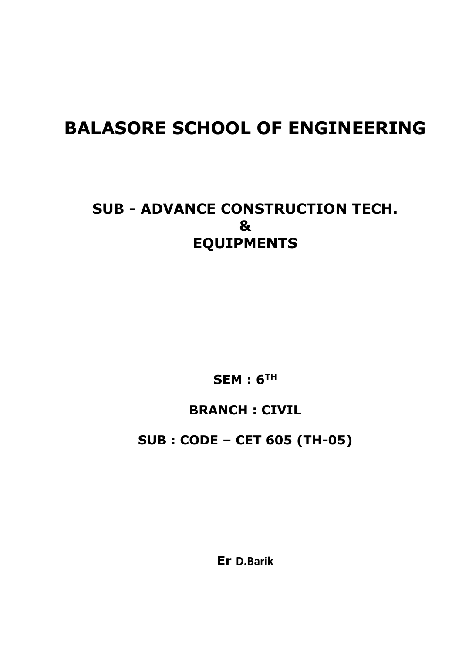# **BALASORE SCHOOL OF ENGINEERING**

## **SUB - ADVANCE CONSTRUCTION TECH. & EQUIPMENTS**

**SEM : 6TH**

## **BRANCH : CIVIL**

**SUB : CODE – CET 605 (TH-05)**

**Er D.Barik**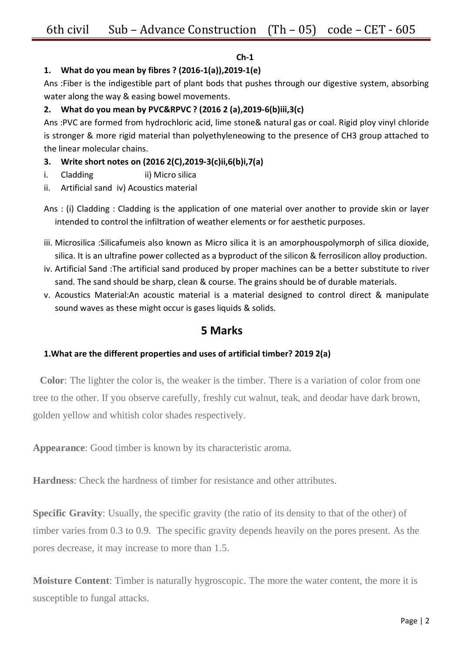## **Ch-1**

## **1. What do you mean by fibres ? (2016-1(a)),2019-1(e)**

Ans :Fiber is the indigestible part of plant bods that pushes through our digestive system, absorbing water along the way & easing bowel movements.

## **2. What do you mean by PVC&RPVC ? (2016 2 (a),2019-6(b)iii,3(c)**

Ans :PVC are formed from hydrochloric acid, lime stone& natural gas or coal. Rigid ploy vinyl chloride is stronger & more rigid material than polyethyleneowing to the presence of CH3 group attached to the linear molecular chains.

## **3. Write short notes on (2016 2(C),2019-3(c)ii,6(b)i,7(a)**

- i. Cladding ii) Micro silica
- ii. Artificial sand iv) Acoustics material
- Ans : (i) Cladding : Cladding is the application of one material over another to provide skin or layer intended to control the infiltration of weather elements or for aesthetic purposes.
- iii. Microsilica :Silicafumeis also known as Micro silica it is an amorphouspolymorph of silica dioxide, silica. It is an ultrafine power collected as a byproduct of the silicon & ferrosilicon alloy production.
- iv. Artificial Sand :The artificial sand produced by proper machines can be a better substitute to river sand. The sand should be sharp, clean & course. The grains should be of durable materials.
- v. Acoustics Material:An acoustic material is a material designed to control direct & manipulate sound waves as these might occur is gases liquids & solids.

## **5 Marks**

## **1.What are the different properties and uses of artificial timber? 2019 2(a)**

**Color**: The lighter the color is, the weaker is the timber. There is a variation of color from one tree to the other. If you observe carefully, freshly cut walnut, teak, and deodar have dark brown, golden yellow and whitish color shades respectively.

**Appearance**: Good timber is known by its characteristic aroma.

**Hardness**: Check the hardness of timber for resistance and other attributes.

**Specific Gravity**: Usually, the specific gravity (the ratio of its density to that of the other) of timber varies from 0.3 to 0.9. The specific gravity depends heavily on the pores present. As the pores decrease, it may increase to more than 1.5.

**Moisture Content**: Timber is naturally hygroscopic. The more the water content, the more it is susceptible to fungal attacks.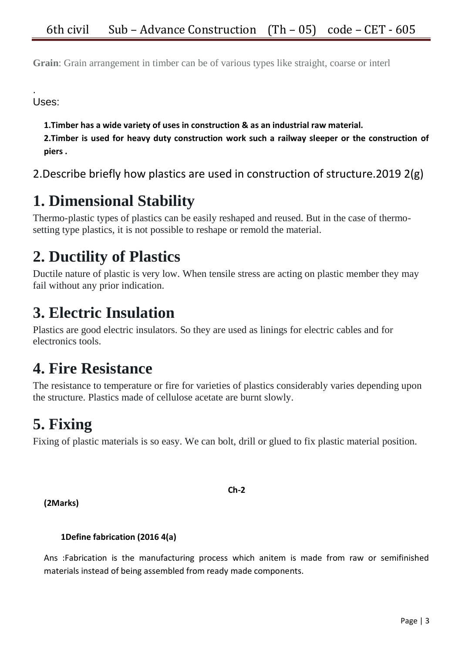**Grain**: Grain arrangement in timber can be of various types like straight, coarse or interl

. Uses:

**1.Timber has a wide variety of uses in construction & as an industrial raw material.**

**2.Timber is used for heavy duty construction work such a railway sleeper or the construction of piers .**

2.Describe briefly how plastics are used in construction of structure.2019 2(g)

## **1. Dimensional Stability**

Thermo-plastic types of plastics can be easily reshaped and reused. But in the case of thermosetting type plastics, it is not possible to reshape or remold the material.

## **2. Ductility of Plastics**

Ductile nature of plastic is very low. When tensile stress are acting on plastic member they may fail without any prior indication.

## **3. Electric Insulation**

Plastics are good electric insulators. So they are used as linings for electric cables and for electronics tools.

## **4. Fire Resistance**

The resistance to temperature or fire for varieties of plastics considerably varies depending upon the structure. Plastics made of cellulose acetate are burnt slowly.

## **5. Fixing**

Fixing of plastic materials is so easy. We can bolt, drill or glued to fix plastic material position.

**(2Marks)**

## **1Define fabrication (2016 4(a)**

Ans :Fabrication is the manufacturing process which anitem is made from raw or semifinished materials instead of being assembled from ready made components.

**Ch-2**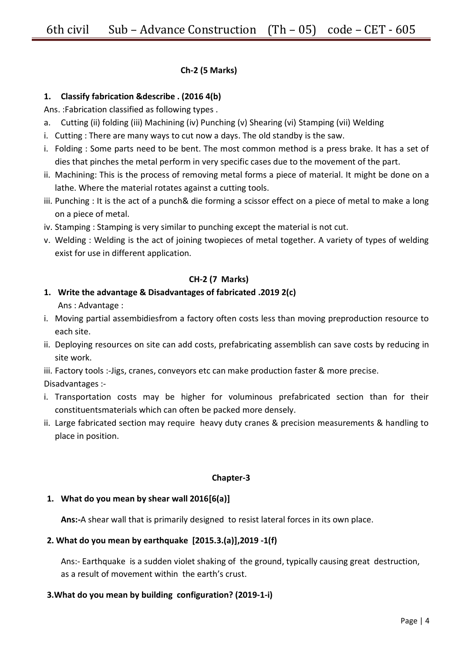## **Ch-2 (5 Marks)**

## **1. Classify fabrication &describe . (2016 4(b)**

Ans. :Fabrication classified as following types .

- a. Cutting (ii) folding (iii) Machining (iv) Punching (v) Shearing (vi) Stamping (vii) Welding
- i. Cutting : There are many ways to cut now a days. The old standby is the saw.
- i. Folding : Some parts need to be bent. The most common method is a press brake. It has a set of dies that pinches the metal perform in very specific cases due to the movement of the part.
- ii. Machining: This is the process of removing metal forms a piece of material. It might be done on a lathe. Where the material rotates against a cutting tools.
- iii. Punching : It is the act of a punch& die forming a scissor effect on a piece of metal to make a long on a piece of metal.
- iv. Stamping : Stamping is very similar to punching except the material is not cut.
- v. Welding : Welding is the act of joining twopieces of metal together. A variety of types of welding exist for use in different application.

### **CH-2 (7 Marks)**

## **1. Write the advantage & Disadvantages of fabricated .2019 2(c)**

Ans : Advantage :

- i. Moving partial assembidiesfrom a factory often costs less than moving preproduction resource to each site.
- ii. Deploying resources on site can add costs, prefabricating assemblish can save costs by reducing in site work.
- iii. Factory tools :- Jigs, cranes, conveyors etc can make production faster & more precise.
- Disadvantages :-
- i. Transportation costs may be higher for voluminous prefabricated section than for their constituentsmaterials which can often be packed more densely.
- ii. Large fabricated section may require heavy duty cranes & precision measurements & handling to place in position.

### **Chapter-3**

### **1. What do you mean by shear wall 2016[6(a)]**

**Ans:-**A shear wall that is primarily designed to resist lateral forces in its own place.

### **2. What do you mean by earthquake [2015.3.(a)],2019 -1(f)**

Ans:- Earthquake is a sudden violet shaking of the ground, typically causing great destruction, as a result of movement within the earth's crust.

### **3.What do you mean by building configuration? (2019-1-i)**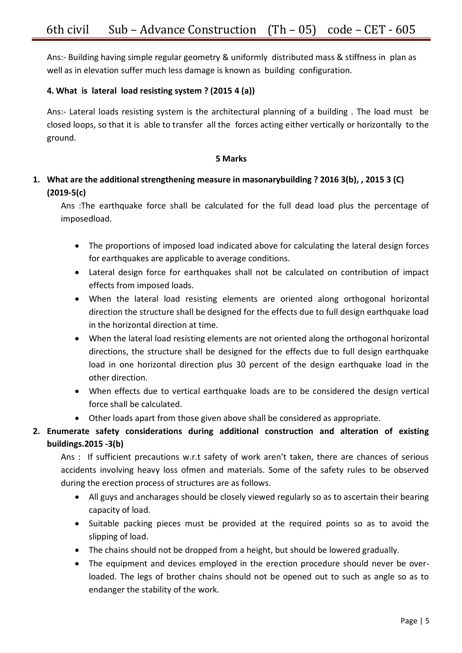Ans:- Building having simple regular geometry & uniformly distributed mass & stiffness in plan as well as in elevation suffer much less damage is known as building configuration.

## **4. What is lateral load resisting system ? (2015 4 (a))**

Ans:- Lateral loads resisting system is the architectural planning of a building . The load must be closed loops, so that it is able to transfer all the forces acting either vertically or horizontally to the ground.

### **5 Marks**

## **1. What are the additional strengthening measure in masonarybuilding ? 2016 3(b), , 2015 3 (C) (2019-5(c)**

Ans :The earthquake force shall be calculated for the full dead load plus the percentage of imposedload.

- The proportions of imposed load indicated above for calculating the lateral design forces for earthquakes are applicable to average conditions.
- Lateral design force for earthquakes shall not be calculated on contribution of impact effects from imposed loads.
- When the lateral load resisting elements are oriented along orthogonal horizontal direction the structure shall be designed for the effects due to full design earthquake load in the horizontal direction at time.
- When the lateral load resisting elements are not oriented along the orthogonal horizontal directions, the structure shall be designed for the effects due to full design earthquake load in one horizontal direction plus 30 percent of the design earthquake load in the other direction.
- When effects due to vertical earthquake loads are to be considered the design vertical force shall be calculated.
- Other loads apart from those given above shall be considered as appropriate.

## **2. Enumerate safety considerations during additional construction and alteration of existing buildings.2015 -3(b)**

Ans : If sufficient precautions w.r.t safety of work aren't taken, there are chances of serious accidents involving heavy loss ofmen and materials. Some of the safety rules to be observed during the erection process of structures are as follows.

- All guys and ancharages should be closely viewed regularly so as to ascertain their bearing capacity of load.
- Suitable packing pieces must be provided at the required points so as to avoid the slipping of load.
- The chains should not be dropped from a height, but should be lowered gradually.
- The equipment and devices employed in the erection procedure should never be overloaded. The legs of brother chains should not be opened out to such as angle so as to endanger the stability of the work.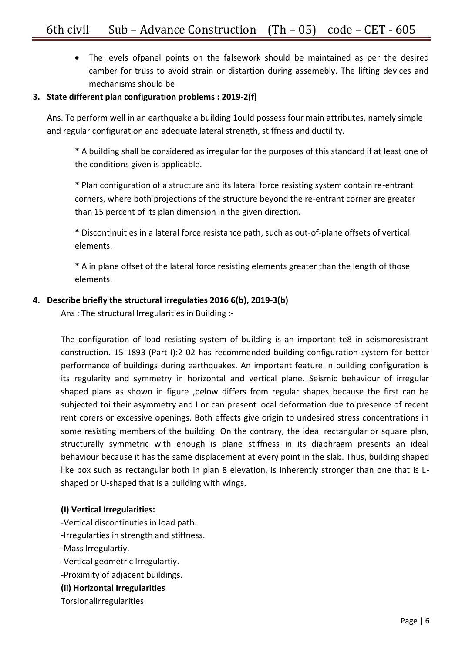The levels ofpanel points on the falsework should be maintained as per the desired camber for truss to avoid strain or distartion during assemebly. The lifting devices and mechanisms should be

## **3. State different plan configuration problems : 2019-2(f)**

Ans. To perform well in an earthquake a building 1ould possess four main attributes, namely simple and regular configuration and adequate lateral strength, stiffness and ductility.

\* A building shall be considered as irregular for the purposes of this standard if at least one of the conditions given is applicable.

\* Plan configuration of a structure and its lateral force resisting system contain re-entrant corners, where both projections of the structure beyond the re-entrant corner are greater than 15 percent of its plan dimension in the given direction.

\* Discontinuities in a lateral force resistance path, such as out-of-plane offsets of vertical elements.

\* A in plane offset of the lateral force resisting elements greater than the length of those elements.

## **4. Describe briefly the structural irregulaties 2016 6(b), 2019-3(b)**

Ans : The structural Irregularities in Building :-

The configuration of load resisting system of building is an important te8 in seismoresistrant construction. 15 1893 (Part-I):2 02 has recommended building configuration system for better performance of buildings during earthquakes. An important feature in building configuration is its regularity and symmetry in horizontal and vertical plane. Seismic behaviour of irregular shaped plans as shown in figure ,below differs from regular shapes because the first can be subjected toi their asymmetry and I or can present local deformation due to presence of recent rent corers or excessive openings. Both effects give origin to undesired stress concentrations in some resisting members of the building. On the contrary, the ideal rectangular or square plan, structurally symmetric with enough is plane stiffness in its diaphragm presents an ideal behaviour because it has the same displacement at every point in the slab. Thus, building shaped like box such as rectangular both in plan 8 elevation, is inherently stronger than one that is Lshaped or U-shaped that is a building with wings.

## **(I) Vertical Irregularities:**

-Vertical discontinuties in load path. -Irregularties in strength and stiffness. -Mass lrregulartiy. -Vertical geometric lrregulartiy. -Proximity of adjacent buildings. **(ii) Horizontal Irregularities** TorsionalIrregularities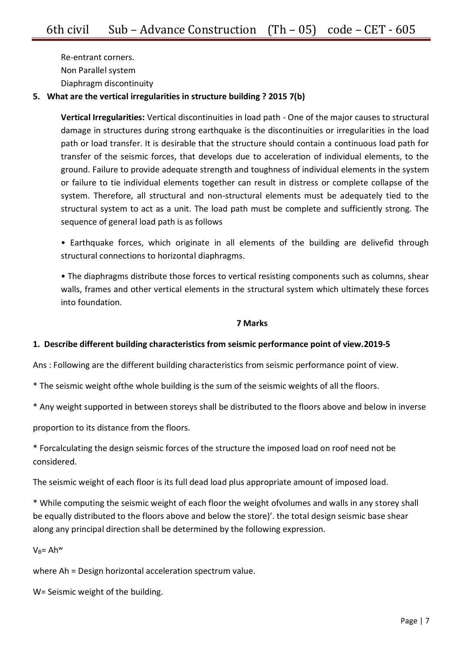Re-entrant corners. Non Parallel system Diaphragm discontinuity

## **5. What are the vertical irregularities in structure building ? 2015 7(b)**

**Vertical Irregularities:** Vertical discontinuities in load path - One of the major causes to structural damage in structures during strong earthquake is the discontinuities or irregularities in the load path or load transfer. It is desirable that the structure should contain a continuous load path for transfer of the seismic forces, that develops due to acceleration of individual elements, to the ground. Failure to provide adequate strength and toughness of individual elements in the system or failure to tie individual elements together can result in distress or complete collapse of the system. Therefore, all structural and non-structural elements must be adequately tied to the structural system to act as a unit. The load path must be complete and sufficiently strong. The sequence of general load path is as follows

• Earthquake forces, which originate in all elements of the building are delivefid through structural connections to horizontal diaphragms.

• The diaphragms distribute those forces to vertical resisting components such as columns, shear walls, frames and other vertical elements in the structural system which ultimately these forces into foundation.

### **7 Marks**

## **1. Describe different building characteristics from seismic performance point of view.2019-5**

Ans : Following are the different building characteristics from seismic performance point of view.

\* The seismic weight ofthe whole building is the sum of the seismic weights of all the floors.

\* Any weight supported in between storeys shall be distributed to the floors above and below in inverse

proportion to its distance from the floors.

\* Forcalculating the design seismic forces of the structure the imposed load on roof need not be considered.

The seismic weight of each floor is its full dead load plus appropriate amount of imposed load.

\* While computing the seismic weight of each floor the weight ofvolumes and walls in any storey shall be equally distributed to the floors above and below the store)'. the total design seismic base shear along any principal direction shall be determined by the following expression.

### $V_B = Ah<sup>w</sup>$

where Ah = Design horizontal acceleration spectrum value.

W= Seismic weight of the building.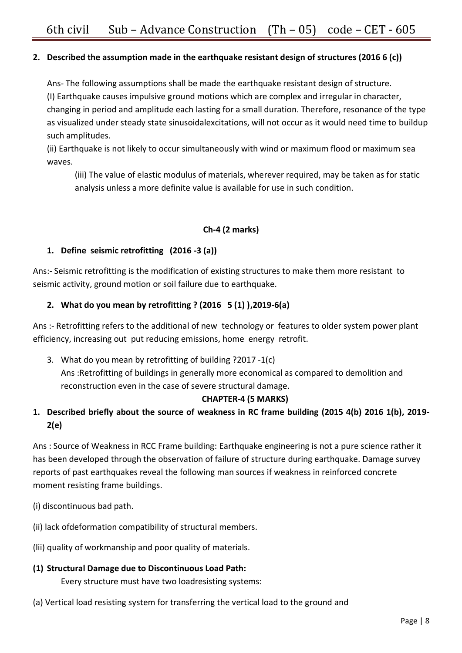## **2. Described the assumption made in the earthquake resistant design of structures (2016 6 (c))**

Ans- The following assumptions shall be made the earthquake resistant design of structure. (I) Earthquake causes impulsive ground motions which are complex and irregular in character, changing in period and amplitude each lasting for a small duration. Therefore, resonance of the type as visualized under steady state sinusoidalexcitations, will not occur as it would need time to buildup such amplitudes.

(ii) Earthquake is not likely to occur simultaneously with wind or maximum flood or maximum sea waves.

(iii) The value of elastic modulus of materials, wherever required, may be taken as for static analysis unless a more definite value is available for use in such condition.

## **Ch-4 (2 marks)**

## **1. Define seismic retrofitting (2016 -3 (a))**

Ans:- Seismic retrofitting is the modification of existing structures to make them more resistant to seismic activity, ground motion or soil failure due to earthquake.

## **2. What do you mean by retrofitting ? (2016 5 (1) ),2019-6(a)**

Ans :- Retrofitting refers to the additional of new technology or features to older system power plant efficiency, increasing out put reducing emissions, home energy retrofit.

3. What do you mean by retrofitting of building ?2017 -1(c)

Ans :Retrofitting of buildings in generally more economical as compared to demolition and reconstruction even in the case of severe structural damage.

### **CHAPTER-4 (5 MARKS)**

## **1. Described briefly about the source of weakness in RC frame building (2015 4(b) 2016 1(b), 2019- 2(e)**

Ans : Source of Weakness in RCC Frame building: Earthquake engineering is not a pure science rather it has been developed through the observation of failure of structure during earthquake. Damage survey reports of past earthquakes reveal the following man sources if weakness in reinforced concrete moment resisting frame buildings.

- (i) discontinuous bad path.
- (ii) lack ofdeformation compatibility of structural members.
- (lii) quality of workmanship and poor quality of materials.
- **(1) Structural Damage due to Discontinuous Load Path:**  Every structure must have two loadresisting systems:
- (a) Vertical load resisting system for transferring the vertical load to the ground and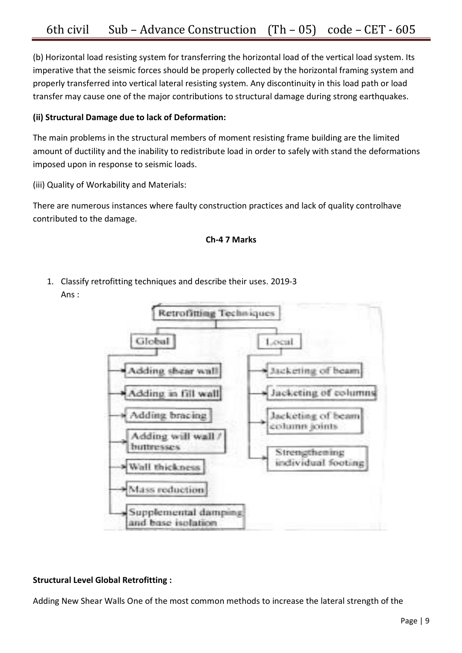(b) Horizontal load resisting system for transferring the horizontal load of the vertical load system. Its imperative that the seismic forces should be properly collected by the horizontal framing system and properly transferred into vertical lateral resisting system. Any discontinuity in this load path or load transfer may cause one of the major contributions to structural damage during strong earthquakes.

## **(ii) Structural Damage due to lack of Deformation:**

The main problems in the structural members of moment resisting frame building are the limited amount of ductility and the inability to redistribute load in order to safely with stand the deformations imposed upon in response to seismic loads.

(iii) Quality of Workability and Materials:

There are numerous instances where faulty construction practices and lack of quality controlhave contributed to the damage.



1. Classify retrofitting techniques and describe their uses. 2019-3 Ans :



## **Structural Level Global Retrofitting :**

Adding New Shear Walls One of the most common methods to increase the lateral strength of the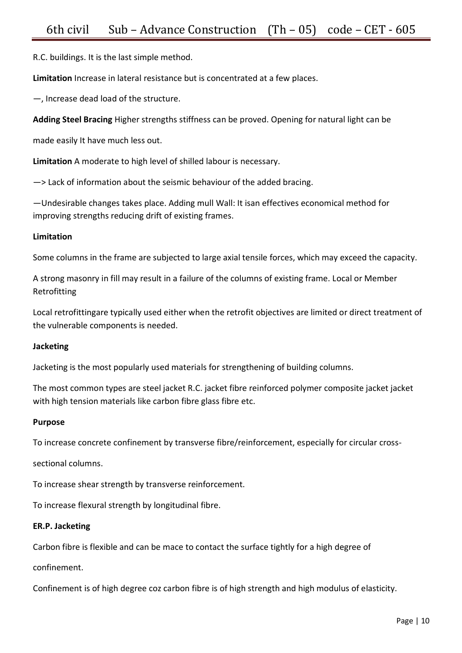R.C. buildings. It is the last simple method.

**Limitation** Increase in lateral resistance but is concentrated at a few places.

—, Increase dead load of the structure.

**Adding Steel Bracing** Higher strengths stiffness can be proved. Opening for natural light can be

made easily It have much less out.

**Limitation** A moderate to high level of shilled labour is necessary.

—> Lack of information about the seismic behaviour of the added bracing.

—Undesirable changes takes place. Adding mull Wall: It isan effectives economical method for improving strengths reducing drift of existing frames.

### **Limitation**

Some columns in the frame are subjected to large axial tensile forces, which may exceed the capacity.

A strong masonry in fill may result in a failure of the columns of existing frame. Local or Member Retrofitting

Local retrofittingare typically used either when the retrofit objectives are limited or direct treatment of the vulnerable components is needed.

### **Jacketing**

Jacketing is the most popularly used materials for strengthening of building columns.

The most common types are steel jacket R.C. jacket fibre reinforced polymer composite jacket jacket with high tension materials like carbon fibre glass fibre etc.

### **Purpose**

To increase concrete confinement by transverse fibre/reinforcement, especially for circular cross-

sectional columns.

To increase shear strength by transverse reinforcement.

To increase flexural strength by longitudinal fibre.

### **ER.P. Jacketing**

Carbon fibre is flexible and can be mace to contact the surface tightly for a high degree of

confinement.

Confinement is of high degree coz carbon fibre is of high strength and high modulus of elasticity.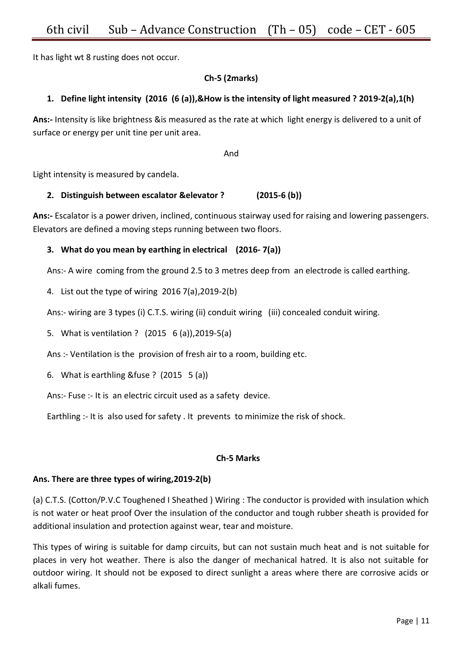It has light wt 8 rusting does not occur.

## **Ch-5 (2marks)**

## **1. Define light intensity (2016 (6 (a)),&How is the intensity of light measured ? 2019-2(a),1(h)**

**Ans:-** Intensity is like brightness &is measured as the rate at which light energy is delivered to a unit of surface or energy per unit tine per unit area.

And

Light intensity is measured by candela.

### **2. Distinguish between escalator &elevator ? (2015-6 (b))**

**Ans:-** Escalator is a power driven, inclined, continuous stairway used for raising and lowering passengers. Elevators are defined a moving steps running between two floors.

### **3. What do you mean by earthing in electrical (2016- 7(a))**

Ans:- A wire coming from the ground 2.5 to 3 metres deep from an electrode is called earthing.

4. List out the type of wiring 2016 7(a),2019-2(b)

Ans:- wiring are 3 types (i) C.T.S. wiring (ii) conduit wiring (iii) concealed conduit wiring.

5. What is ventilation ? (2015 6 (a)),2019-5(a)

Ans :- Ventilation is the provision of fresh air to a room, building etc.

6. What is earthling &fuse ? (2015 5 (a))

Ans:- Fuse :- It is an electric circuit used as a safety device.

Earthling :- It is also used for safety . It prevents to minimize the risk of shock.

### **Ch-5 Marks**

### **Ans. There are three types of wiring,2019-2(b)**

(a) C.T.S. (Cotton/P.V.C Toughened I Sheathed ) Wiring : The conductor is provided with insulation which is not water or heat proof Over the insulation of the conductor and tough rubber sheath is provided for additional insulation and protection against wear, tear and moisture.

This types of wiring is suitable for damp circuits, but can not sustain much heat and is not suitable for places in very hot weather. There is also the danger of mechanical hatred. It is also not suitable for outdoor wiring. It should not be exposed to direct sunlight a areas where there are corrosive acids or alkali fumes.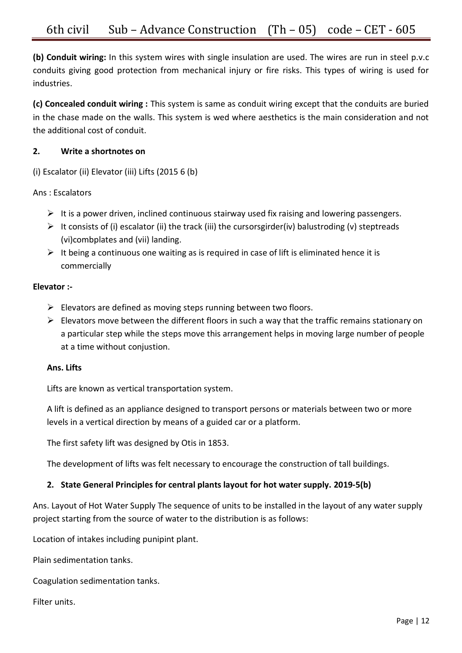**(b) Conduit wiring:** In this system wires with single insulation are used. The wires are run in steel p.v.c conduits giving good protection from mechanical injury or fire risks. This types of wiring is used for industries.

**(c) Concealed conduit wiring :** This system is same as conduit wiring except that the conduits are buried in the chase made on the walls. This system is wed where aesthetics is the main consideration and not the additional cost of conduit.

## **2. Write a shortnotes on**

(i) Escalator (ii) Elevator (iii) Lifts (2015 6 (b)

Ans : Escalators

- $\triangleright$  It is a power driven, inclined continuous stairway used fix raising and lowering passengers.
- $\triangleright$  It consists of (i) escalator (ii) the track (iii) the cursorsgirder(iv) balustroding (v) steptreads (vi)combplates and (vii) landing.
- $\triangleright$  It being a continuous one waiting as is required in case of lift is eliminated hence it is commercially

## **Elevator :-**

- $\triangleright$  Elevators are defined as moving steps running between two floors.
- $\triangleright$  Elevators move between the different floors in such a way that the traffic remains stationary on a particular step while the steps move this arrangement helps in moving large number of people at a time without conjustion.

## **Ans. Lifts**

Lifts are known as vertical transportation system.

A lift is defined as an appliance designed to transport persons or materials between two or more levels in a vertical direction by means of a guided car or a platform.

The first safety lift was designed by Otis in 1853.

The development of lifts was felt necessary to encourage the construction of tall buildings.

## **2. State General Principles for central plants layout for hot water supply. 2019-5(b)**

Ans. Layout of Hot Water Supply The sequence of units to be installed in the layout of any water supply project starting from the source of water to the distribution is as follows:

Location of intakes including punipint plant.

Plain sedimentation tanks.

Coagulation sedimentation tanks.

Filter units.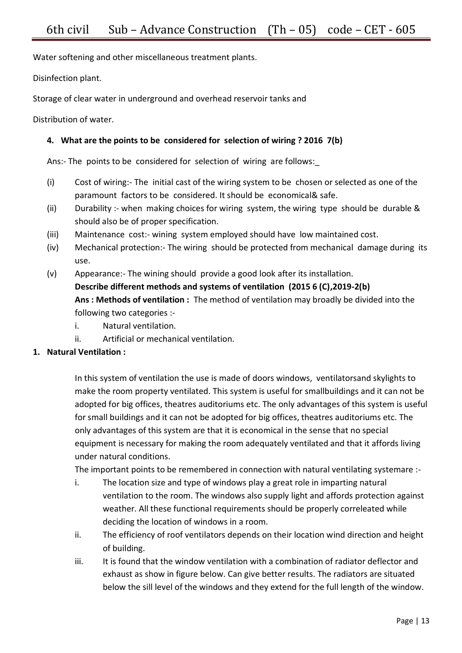Water softening and other miscellaneous treatment plants.

Disinfection plant.

Storage of clear water in underground and overhead reservoir tanks and

Distribution of water.

## **4. What are the points to be considered for selection of wiring ? 2016 7(b)**

Ans:- The points to be considered for selection of wiring are follows:

- (i) Cost of wiring:- The initial cast of the wiring system to be chosen or selected as one of the paramount factors to be considered. It should be economical& safe.
- (ii) Durability :- when making choices for wiring system, the wiring type should be durable & should also be of proper specification.
- (iii) Maintenance cost:- wining system employed should have low maintained cost.
- (iv) Mechanical protection:- The wiring should be protected from mechanical damage during its use.
- (v) Appearance:- The wining should provide a good look after its installation. **Describe different methods and systems of ventilation (2015 6 (C),2019-2(b) Ans : Methods of ventilation :** The method of ventilation may broadly be divided into the following two categories :
	- i. Natural ventilation.
	- ii. Artificial or mechanical ventilation.

## **1. Natural Ventilation :**

In this system of ventilation the use is made of doors windows, ventilatorsand skylights to make the room property ventilated. This system is useful for smallbuildings and it can not be adopted for big offices, theatres auditoriums etc. The only advantages of this system is useful for small buildings and it can not be adopted for big offices, theatres auditoriums etc. The only advantages of this system are that it is economical in the sense that no special equipment is necessary for making the room adequately ventilated and that it affords living under natural conditions.

The important points to be remembered in connection with natural ventilating systemare :-

- i. The location size and type of windows play a great role in imparting natural ventilation to the room. The windows also supply light and affords protection against weather. All these functional requirements should be properly correleated while deciding the location of windows in a room.
- ii. The efficiency of roof ventilators depends on their location wind direction and height of building.
- iii. It is found that the window ventilation with a combination of radiator deflector and exhaust as show in figure below. Can give better results. The radiators are situated below the sill level of the windows and they extend for the full length of the window.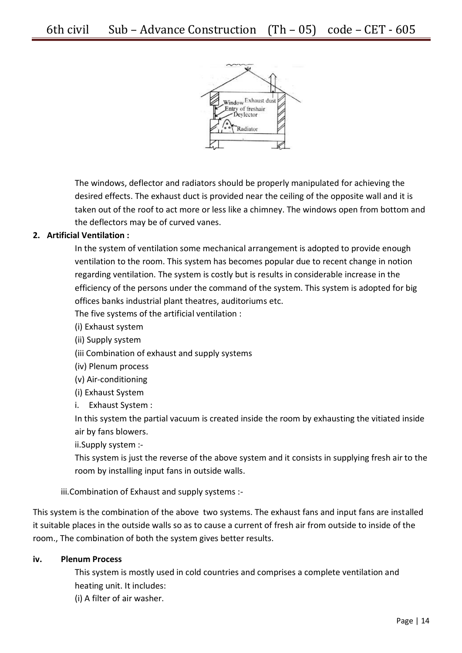

The windows, deflector and radiators should be properly manipulated for achieving the desired effects. The exhaust duct is provided near the ceiling of the opposite wall and it is taken out of the roof to act more or less like a chimney. The windows open from bottom and the deflectors may be of curved vanes.

## **2. Artificial Ventilation :**

In the system of ventilation some mechanical arrangement is adopted to provide enough ventilation to the room. This system has becomes popular due to recent change in notion regarding ventilation. The system is costly but is results in considerable increase in the efficiency of the persons under the command of the system. This system is adopted for big offices banks industrial plant theatres, auditoriums etc.

The five systems of the artificial ventilation :

(i) Exhaust system

(ii) Supply system

(iii Combination of exhaust and supply systems

(iv) Plenum process

(v) Air-conditioning

(i) Exhaust System

i. Exhaust System :

In this system the partial vacuum is created inside the room by exhausting the vitiated inside air by fans blowers.

ii.Supply system :-

This system is just the reverse of the above system and it consists in supplying fresh air to the room by installing input fans in outside walls.

iii.Combination of Exhaust and supply systems :-

This system is the combination of the above two systems. The exhaust fans and input fans are installed it suitable places in the outside walls so as to cause a current of fresh air from outside to inside of the room., The combination of both the system gives better results.

### **iv. Plenum Process**

This system is mostly used in cold countries and comprises a complete ventilation and heating unit. It includes:

(i) A filter of air washer.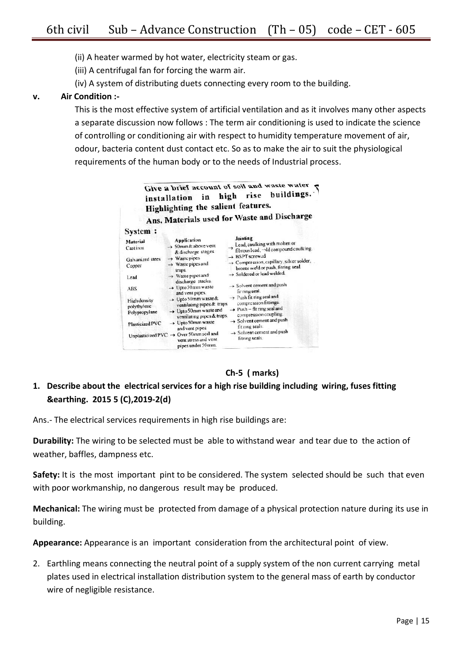(ii) A heater warmed by hot water, electricity steam or gas.

(iii) A centrifugal fan for forcing the warm air.

(iv) A system of distributing duets connecting every room to the building.

## **v. Air Condition :-**

This is the most effective system of artificial ventilation and as it involves many other aspects a separate discussion now follows : The term air conditioning is used to indicate the science of controlling or conditioning air with respect to humidity temperature movement of air, odour, bacteria content dust contact etc. So as to make the air to suit the physiological requirements of the human body or to the needs of Industrial process.



## **Ch-5 ( marks)**

## **1. Describe about the electrical services for a high rise building including wiring, fuses fitting &earthing. 2015 5 (C),2019-2(d)**

Ans.- The electrical services requirements in high rise buildings are:

**Durability:** The wiring to be selected must be able to withstand wear and tear due to the action of weather, baffles, dampness etc.

**Safety:** It is the most important pint to be considered. The system selected should be such that even with poor workmanship, no dangerous result may be produced.

**Mechanical:** The wiring must be protected from damage of a physical protection nature during its use in building.

**Appearance:** Appearance is an important consideration from the architectural point of view.

2. Earthling means connecting the neutral point of a supply system of the non current carrying metal plates used in electrical installation distribution system to the general mass of earth by conductor wire of negligible resistance.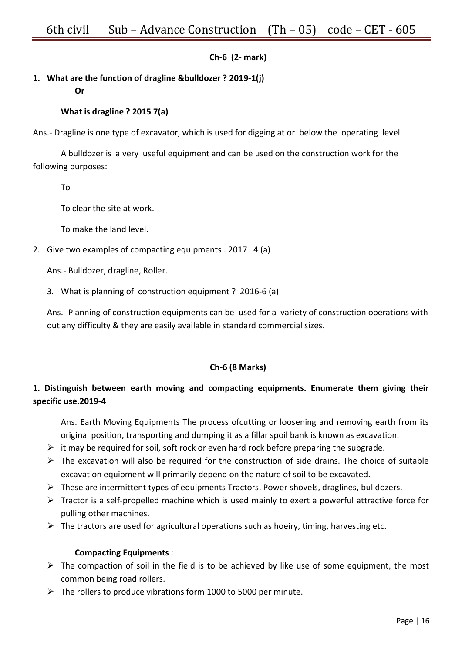## **Ch-6 (2- mark)**

## **1. What are the function of dragline &bulldozer ? 2019-1(j)**

#### **Or**

## **What is dragline ? 2015 7(a)**

Ans.- Dragline is one type of excavator, which is used for digging at or below the operating level.

A bulldozer is a very useful equipment and can be used on the construction work for the following purposes:

To

To clear the site at work.

To make the land level.

2. Give two examples of compacting equipments . 2017 4 (a)

Ans.- Bulldozer, dragline, Roller.

3. What is planning of construction equipment ? 2016-6 (a)

Ans.- Planning of construction equipments can be used for a variety of construction operations with out any difficulty & they are easily available in standard commercial sizes.

## **Ch-6 (8 Marks)**

## **1. Distinguish between earth moving and compacting equipments. Enumerate them giving their specific use.2019-4**

Ans. Earth Moving Equipments The process ofcutting or loosening and removing earth from its original position, transporting and dumping it as a fillar spoil bank is known as excavation.

- $\triangleright$  it may be required for soil, soft rock or even hard rock before preparing the subgrade.
- $\triangleright$  The excavation will also be required for the construction of side drains. The choice of suitable excavation equipment will primarily depend on the nature of soil to be excavated.
- $\triangleright$  These are intermittent types of equipments Tractors, Power shovels, draglines, bulldozers.
- $\triangleright$  Tractor is a self-propelled machine which is used mainly to exert a powerful attractive force for pulling other machines.
- $\triangleright$  The tractors are used for agricultural operations such as hoeiry, timing, harvesting etc.

### **Compacting Equipments** :

- $\triangleright$  The compaction of soil in the field is to be achieved by like use of some equipment, the most common being road rollers.
- $\triangleright$  The rollers to produce vibrations form 1000 to 5000 per minute.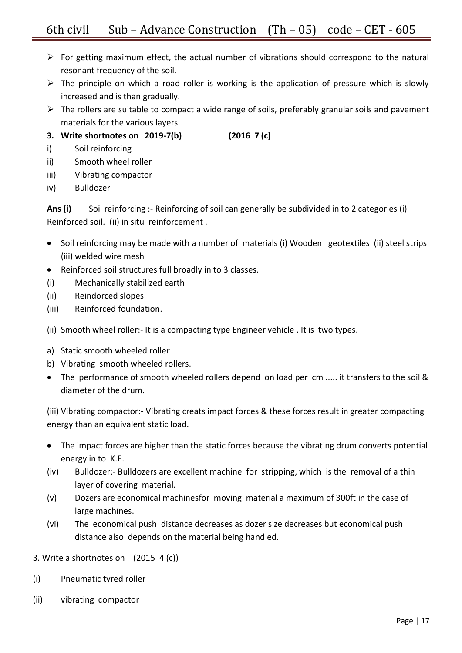- $\triangleright$  For getting maximum effect, the actual number of vibrations should correspond to the natural resonant frequency of the soil.
- $\triangleright$  The principle on which a road roller is working is the application of pressure which is slowly increased and is than gradually.
- $\triangleright$  The rollers are suitable to compact a wide range of soils, preferably granular soils and pavement materials for the various layers.
- **3. Write shortnotes on 2019-7(b) (2016 7 (c)**
- i) Soil reinforcing
- ii) Smooth wheel roller
- iii) Vibrating compactor
- iv) Bulldozer

**Ans (i)** Soil reinforcing :- Reinforcing of soil can generally be subdivided in to 2 categories (i) Reinforced soil. (ii) in situ reinforcement .

- Soil reinforcing may be made with a number of materials (i) Wooden geotextiles (ii) steel strips (iii) welded wire mesh
- Reinforced soil structures full broadly in to 3 classes.
- (i) Mechanically stabilized earth
- (ii) Reindorced slopes
- (iii) Reinforced foundation.
- (ii) Smooth wheel roller:- It is a compacting type Engineer vehicle . It is two types.
- a) Static smooth wheeled roller
- b) Vibrating smooth wheeled rollers.
- The performance of smooth wheeled rollers depend on load per cm ..... it transfers to the soil & diameter of the drum.

(iii) Vibrating compactor:- Vibrating creats impact forces & these forces result in greater compacting energy than an equivalent static load.

- The impact forces are higher than the static forces because the vibrating drum converts potential energy in to K.E.
- (iv) Bulldozer:- Bulldozers are excellent machine for stripping, which is the removal of a thin layer of covering material.
- (v) Dozers are economical machinesfor moving material a maximum of 300ft in the case of large machines.
- (vi) The economical push distance decreases as dozer size decreases but economical push distance also depends on the material being handled.

## 3. Write a shortnotes on (2015 4 (c))

- (i) Pneumatic tyred roller
- (ii) vibrating compactor